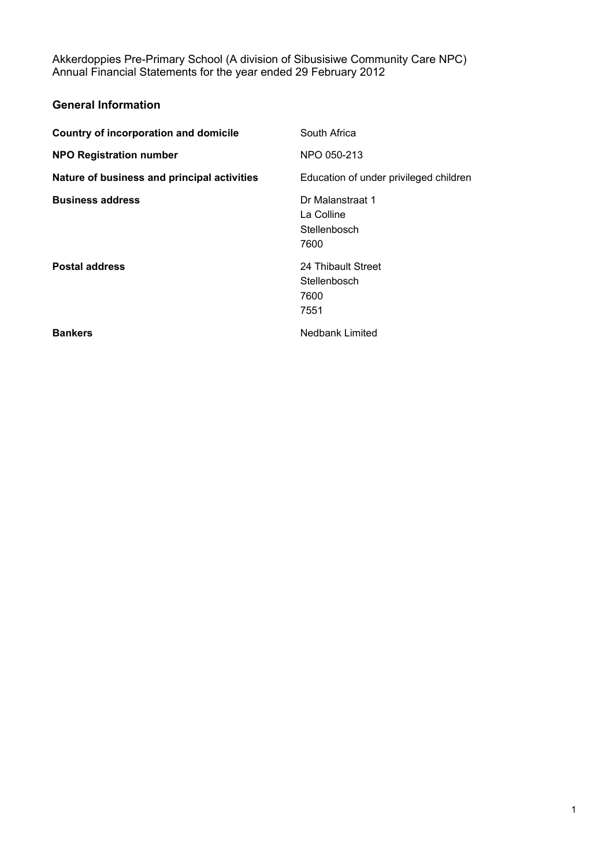| South Africa                                           |
|--------------------------------------------------------|
| NPO 050-213                                            |
| Education of under privileged children                 |
| Dr Malanstraat 1<br>La Colline<br>Stellenbosch<br>7600 |
| 24 Thibault Street<br>Stellenbosch<br>7600<br>7551     |
|                                                        |
|                                                        |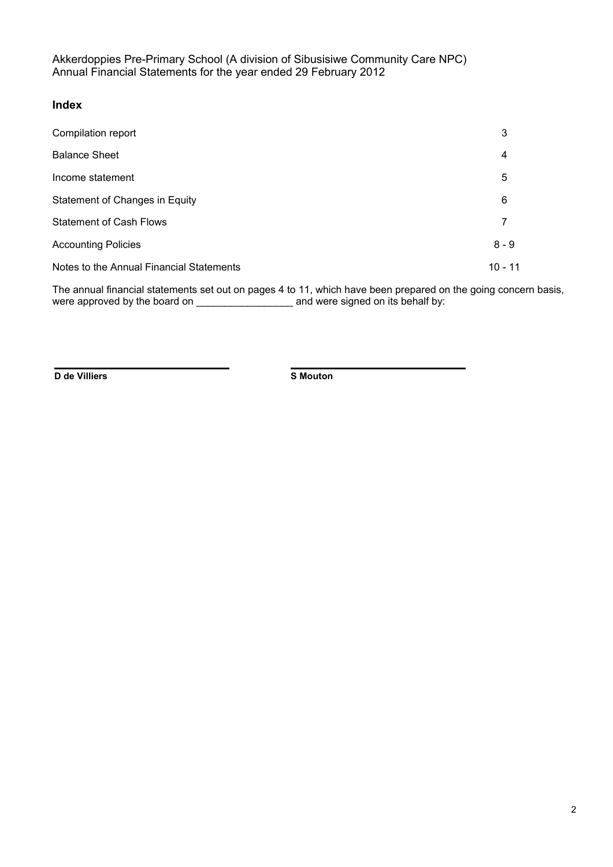#### **Index**

| Compilation report                       | 3         |
|------------------------------------------|-----------|
| <b>Balance Sheet</b>                     | 4         |
| Income statement                         | 5         |
| Statement of Changes in Equity           | 6         |
| <b>Statement of Cash Flows</b>           |           |
| <b>Accounting Policies</b>               | $8 - 9$   |
| Notes to the Annual Financial Statements | $10 - 11$ |

The annual financial statements set out on pages 4 to 11, which have been prepared on the going concern basis, were approved by the board on \_\_\_\_\_\_\_\_\_\_\_\_\_\_\_\_\_ and were signed on its behalf by:

**D de Villiers S Mouton**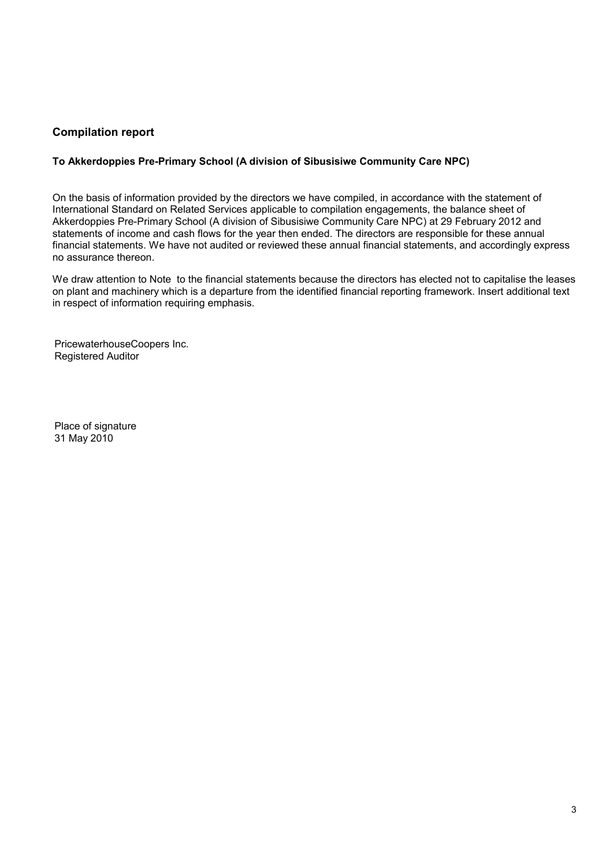## **Compilation report**

#### **To Akkerdoppies Pre-Primary School (A division of Sibusisiwe Community Care NPC)**

On the basis of information provided by the directors we have compiled, in accordance with the statement of International Standard on Related Services applicable to compilation engagements, the balance sheet of Akkerdoppies Pre-Primary School (A division of Sibusisiwe Community Care NPC) at 29 February 2012 and statements of income and cash flows for the year then ended. The directors are responsible for these annual financial statements. We have not audited or reviewed these annual financial statements, and accordingly express no assurance thereon.

We draw attention to Note to the financial statements because the directors has elected not to capitalise the leases on plant and machinery which is a departure from the identified financial reporting framework. Insert additional text in respect of information requiring emphasis.

PricewaterhouseCoopers Inc. Registered Auditor

Place of signature 31 May 2010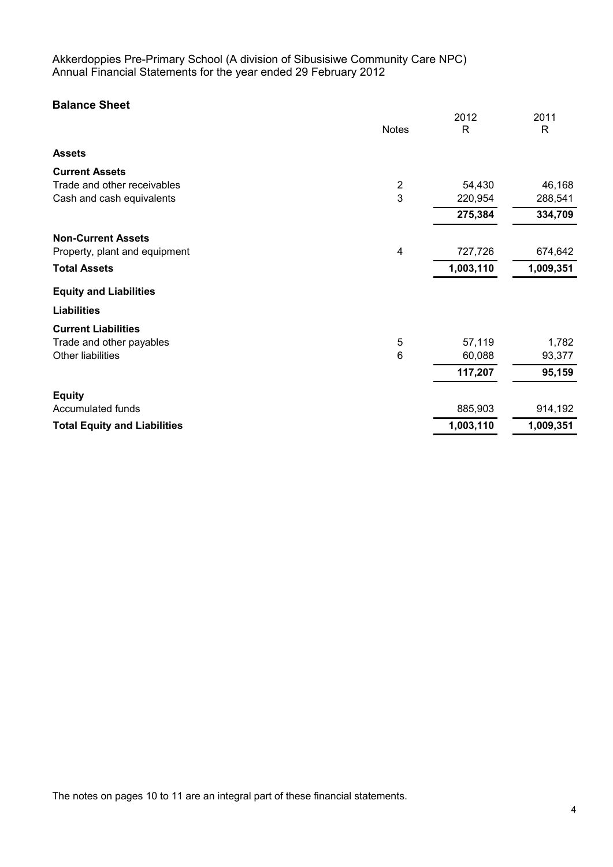# **Balance Sheet**

|                                     |                | 2012         | 2011         |
|-------------------------------------|----------------|--------------|--------------|
|                                     | <b>Notes</b>   | $\mathsf{R}$ | $\mathsf{R}$ |
| <b>Assets</b>                       |                |              |              |
| <b>Current Assets</b>               |                |              |              |
| Trade and other receivables         | $\overline{2}$ | 54,430       | 46,168       |
| Cash and cash equivalents           | 3              | 220,954      | 288,541      |
|                                     |                | 275,384      | 334,709      |
| <b>Non-Current Assets</b>           |                |              |              |
| Property, plant and equipment       | 4              | 727,726      | 674,642      |
| <b>Total Assets</b>                 |                | 1,003,110    | 1,009,351    |
| <b>Equity and Liabilities</b>       |                |              |              |
| <b>Liabilities</b>                  |                |              |              |
| <b>Current Liabilities</b>          |                |              |              |
| Trade and other payables            | 5              | 57,119       | 1,782        |
| Other liabilities                   | 6              | 60,088       | 93,377       |
|                                     |                | 117,207      | 95,159       |
| <b>Equity</b>                       |                |              |              |
| Accumulated funds                   |                | 885,903      | 914,192      |
| <b>Total Equity and Liabilities</b> |                | 1,003,110    | 1,009,351    |

The notes on pages 10 to 11 are an integral part of these financial statements.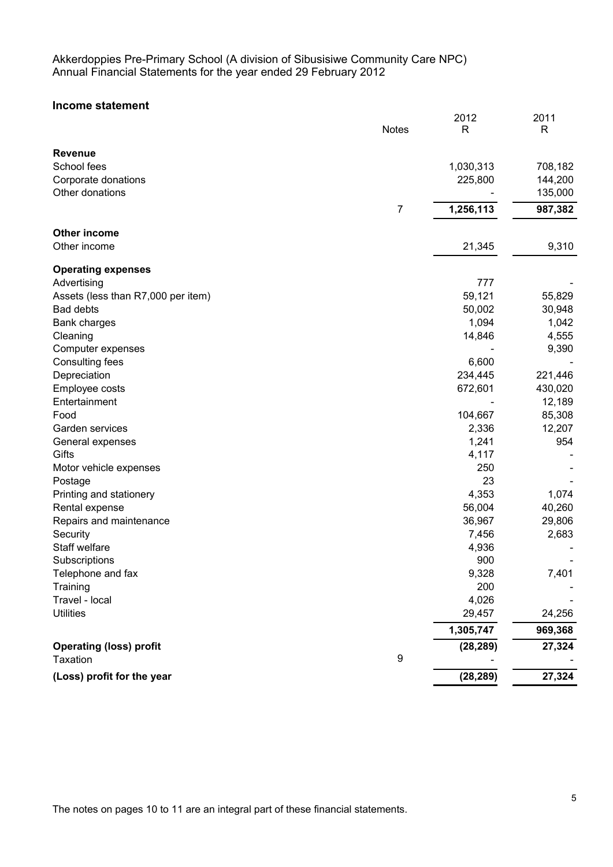## **Income statement**

|                                    | <b>Notes</b> | 2012<br>$\mathsf{R}$ | 2011<br>$\mathsf{R}$ |
|------------------------------------|--------------|----------------------|----------------------|
|                                    |              |                      |                      |
| <b>Revenue</b><br>School fees      |              | 1,030,313            | 708,182              |
| Corporate donations                |              | 225,800              | 144,200              |
| Other donations                    |              |                      | 135,000              |
|                                    |              |                      |                      |
|                                    | 7            | 1,256,113            | 987,382              |
| Other income                       |              |                      |                      |
| Other income                       |              | 21,345               | 9,310                |
| <b>Operating expenses</b>          |              |                      |                      |
| Advertising                        |              | 777                  |                      |
| Assets (less than R7,000 per item) |              | 59,121               | 55,829               |
| Bad debts                          |              | 50,002               | 30,948               |
| <b>Bank charges</b>                |              | 1,094                | 1,042                |
| Cleaning                           |              | 14,846               | 4,555                |
| Computer expenses                  |              |                      | 9,390                |
| Consulting fees                    |              | 6,600                |                      |
| Depreciation                       |              | 234,445              | 221,446              |
| Employee costs                     |              | 672,601              | 430,020              |
| Entertainment                      |              |                      | 12,189               |
| Food                               |              | 104,667              | 85,308               |
| Garden services                    |              | 2,336                | 12,207               |
| General expenses                   |              | 1,241                | 954                  |
| Gifts                              |              | 4,117                |                      |
| Motor vehicle expenses             |              | 250                  |                      |
| Postage                            |              | 23                   |                      |
| Printing and stationery            |              | 4,353                | 1,074                |
| Rental expense                     |              | 56,004               | 40,260               |
| Repairs and maintenance            |              | 36,967               | 29,806               |
| Security                           |              | 7,456                | 2,683                |
| Staff welfare                      |              | 4,936                |                      |
| Subscriptions                      |              | 900                  |                      |
| Telephone and fax                  |              | 9,328                | 7,401                |
| Training                           |              | 200                  |                      |
| Travel - local                     |              | 4,026                |                      |
| <b>Utilities</b>                   |              | 29,457               | 24,256               |
|                                    |              | 1,305,747            | 969,368              |
| <b>Operating (loss) profit</b>     |              | (28, 289)            | 27,324               |
| Taxation                           | 9            |                      |                      |
| (Loss) profit for the year         |              | (28, 289)            | 27,324               |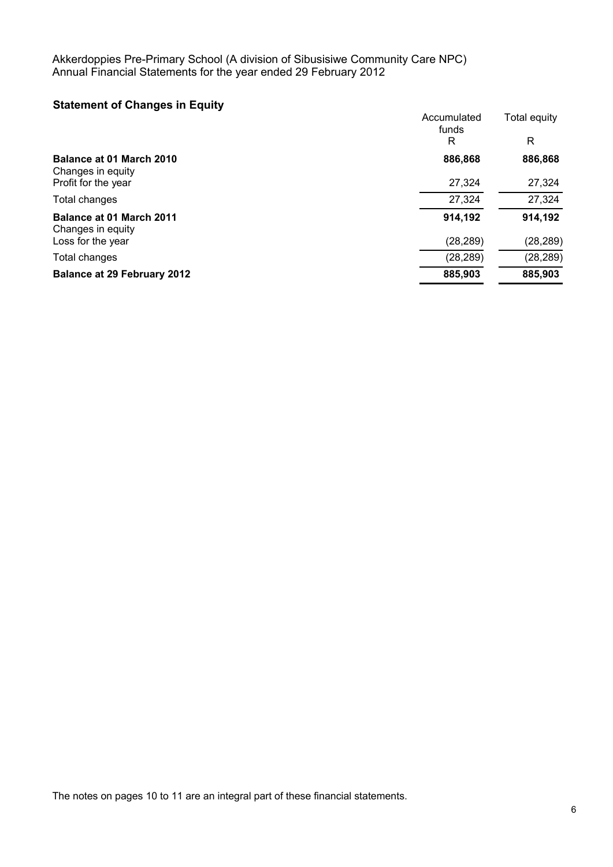# **Statement of Changes in Equity**

| <b>Balance at 29 February 2012</b>       | 885,903     | 885,903      |
|------------------------------------------|-------------|--------------|
| Total changes                            | (28, 289)   | (28, 289)    |
| Changes in equity<br>Loss for the year   | (28, 289)   | (28, 289)    |
| <b>Balance at 01 March 2011</b>          | 914,192     | 914,192      |
| Total changes                            | 27,324      | 27,324       |
| Changes in equity<br>Profit for the year | 27,324      | 27,324       |
| <b>Balance at 01 March 2010</b>          | 886,868     | 886,868      |
|                                          | funds<br>R  | R            |
|                                          | Accumulated | Total equity |

The notes on pages 10 to 11 are an integral part of these financial statements.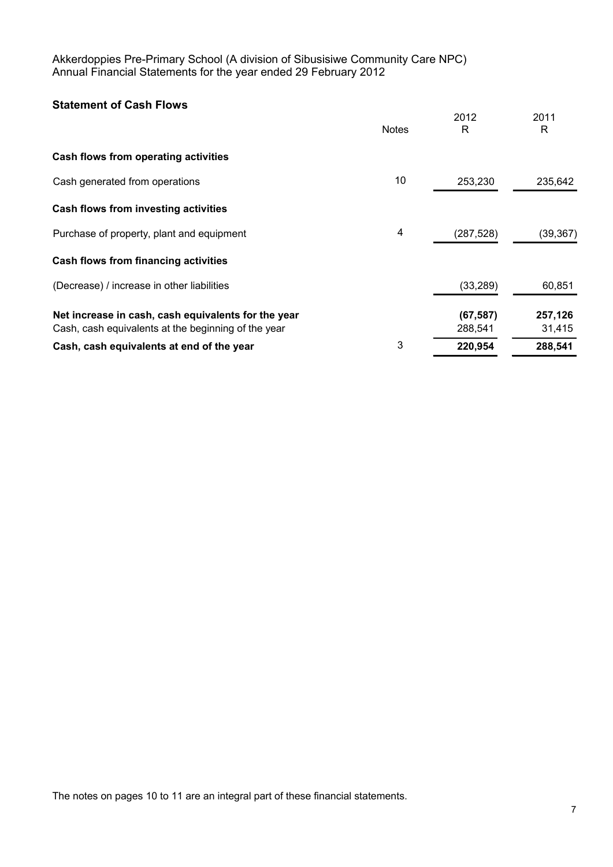# **Statement of Cash Flows**

|                                                                                                            | <b>Notes</b> | 2012<br>R            | 2011<br>R         |
|------------------------------------------------------------------------------------------------------------|--------------|----------------------|-------------------|
| Cash flows from operating activities                                                                       |              |                      |                   |
| Cash generated from operations                                                                             | 10           | 253,230              | 235,642           |
| Cash flows from investing activities                                                                       |              |                      |                   |
| Purchase of property, plant and equipment                                                                  | 4            | (287, 528)           | (39, 367)         |
| Cash flows from financing activities                                                                       |              |                      |                   |
| (Decrease) / increase in other liabilities                                                                 |              | (33, 289)            | 60,851            |
| Net increase in cash, cash equivalents for the year<br>Cash, cash equivalents at the beginning of the year |              | (67, 587)<br>288,541 | 257,126<br>31,415 |
| Cash, cash equivalents at end of the year                                                                  | 3            | 220,954              | 288,541           |

The notes on pages 10 to 11 are an integral part of these financial statements.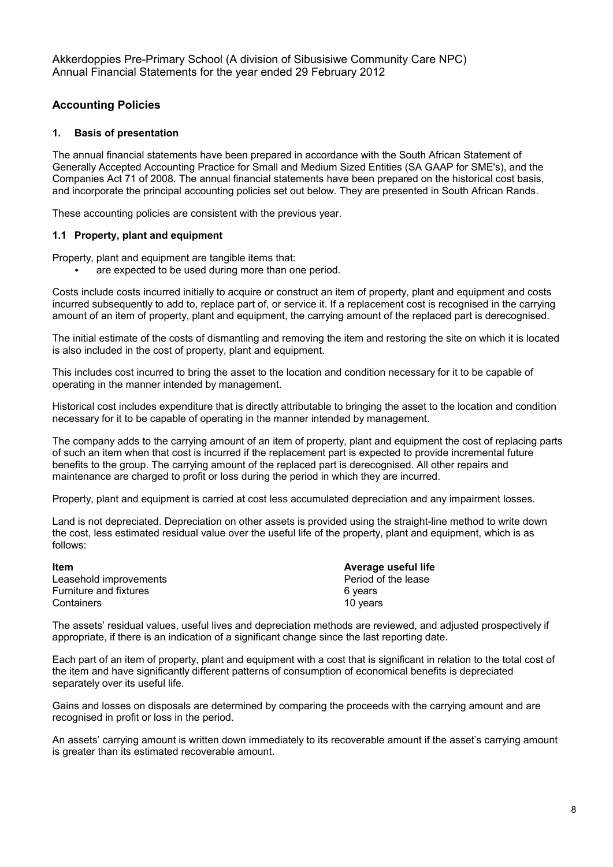## **Accounting Policies**

#### **1. Basis of presentation**

The annual financial statements have been prepared in accordance with the South African Statement of Generally Accepted Accounting Practice for Small and Medium Sized Entities (SA GAAP for SME's), and the Companies Act 71 of 2008. The annual financial statements have been prepared on the historical cost basis, and incorporate the principal accounting policies set out below. They are presented in South African Rands.

These accounting policies are consistent with the previous year.

#### **1.1 Property, plant and equipment**

Property, plant and equipment are tangible items that:

are expected to be used during more than one period.

Costs include costs incurred initially to acquire or construct an item of property, plant and equipment and costs incurred subsequently to add to, replace part of, or service it. If a replacement cost is recognised in the carrying amount of an item of property, plant and equipment, the carrying amount of the replaced part is derecognised.

The initial estimate of the costs of dismantling and removing the item and restoring the site on which it is located is also included in the cost of property, plant and equipment.

This includes cost incurred to bring the asset to the location and condition necessary for it to be capable of operating in the manner intended by management.

Historical cost includes expenditure that is directly attributable to bringing the asset to the location and condition necessary for it to be capable of operating in the manner intended by management.

The company adds to the carrying amount of an item of property, plant and equipment the cost of replacing parts of such an item when that cost is incurred if the replacement part is expected to provide incremental future benefits to the group. The carrying amount of the replaced part is derecognised. All other repairs and maintenance are charged to profit or loss during the period in which they are incurred.

Property, plant and equipment is carried at cost less accumulated depreciation and any impairment losses.

Land is not depreciated. Depreciation on other assets is provided using the straight-line method to write down the cost, less estimated residual value over the useful life of the property, plant and equipment, which is as follows:

**Item**<br> **Internal Leasehold improvements**<br> **Average useful life**<br> **Average useful life**<br> **Average useful life** Leasehold improvements Furniture and fixtures **6** years Containers 20 years 20 years 20 years 20 years 20 years 20 years 20 years 20 years 20 years 20 years 20 years

The assets' residual values, useful lives and depreciation methods are reviewed, and adjusted prospectively if appropriate, if there is an indication of a significant change since the last reporting date.

Each part of an item of property, plant and equipment with a cost that is significant in relation to the total cost of the item and have significantly different patterns of consumption of economical benefits is depreciated separately over its useful life.

Gains and losses on disposals are determined by comparing the proceeds with the carrying amount and are recognised in profit or loss in the period.

An assets' carrying amount is written down immediately to its recoverable amount if the asset's carrying amount is greater than its estimated recoverable amount.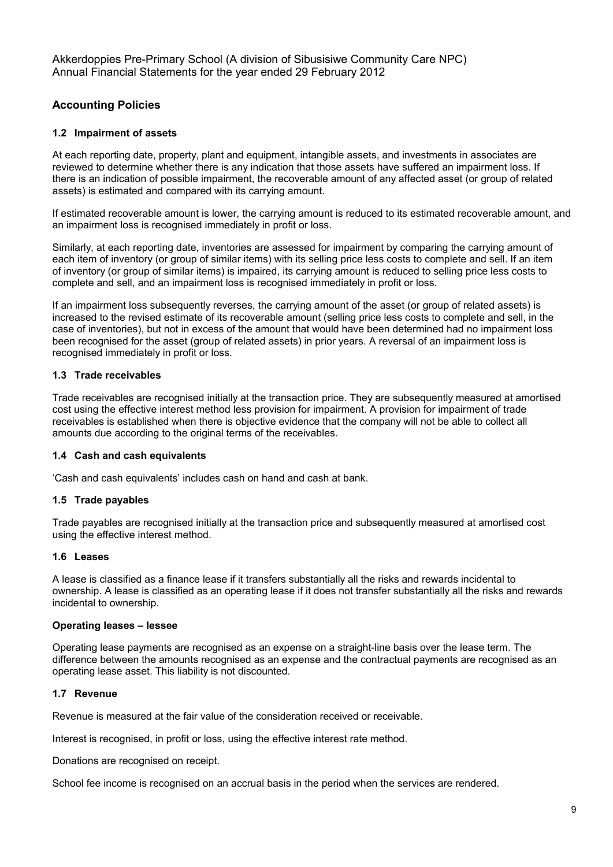## **Accounting Policies**

#### **1.2 Impairment of assets**

At each reporting date, property, plant and equipment, intangible assets, and investments in associates are reviewed to determine whether there is any indication that those assets have suffered an impairment loss. If there is an indication of possible impairment, the recoverable amount of any affected asset (or group of related assets) is estimated and compared with its carrying amount.

If estimated recoverable amount is lower, the carrying amount is reduced to its estimated recoverable amount, and an impairment loss is recognised immediately in profit or loss.

Similarly, at each reporting date, inventories are assessed for impairment by comparing the carrying amount of each item of inventory (or group of similar items) with its selling price less costs to complete and sell. If an item of inventory (or group of similar items) is impaired, its carrying amount is reduced to selling price less costs to complete and sell, and an impairment loss is recognised immediately in profit or loss.

If an impairment loss subsequently reverses, the carrying amount of the asset (or group of related assets) is increased to the revised estimate of its recoverable amount (selling price less costs to complete and sell, in the case of inventories), but not in excess of the amount that would have been determined had no impairment loss been recognised for the asset (group of related assets) in prior years. A reversal of an impairment loss is recognised immediately in profit or loss.

#### **1.3 Trade receivables**

Trade receivables are recognised initially at the transaction price. They are subsequently measured at amortised cost using the effective interest method less provision for impairment. A provision for impairment of trade receivables is established when there is objective evidence that the company will not be able to collect all amounts due according to the original terms of the receivables.

#### **1.4 Cash and cash equivalents**

'Cash and cash equivalents' includes cash on hand and cash at bank.

#### **1.5 Trade payables**

Trade payables are recognised initially at the transaction price and subsequently measured at amortised cost using the effective interest method.

#### **1.6 Leases**

A lease is classified as a finance lease if it transfers substantially all the risks and rewards incidental to ownership. A lease is classified as an operating lease if it does not transfer substantially all the risks and rewards incidental to ownership.

#### **Operating leases – lessee**

Operating lease payments are recognised as an expense on a straight-line basis over the lease term. The difference between the amounts recognised as an expense and the contractual payments are recognised as an operating lease asset. This liability is not discounted.

#### **1.7 Revenue**

Revenue is measured at the fair value of the consideration received or receivable.

Interest is recognised, in profit or loss, using the effective interest rate method.

Donations are recognised on receipt.

School fee income is recognised on an accrual basis in the period when the services are rendered.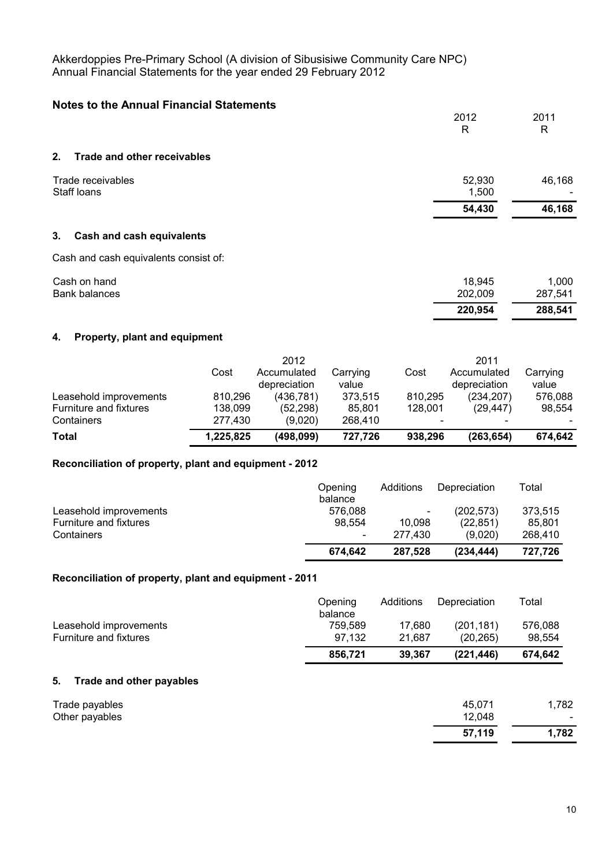| <b>Notes to the Annual Financial Statements</b> |         |         |
|-------------------------------------------------|---------|---------|
|                                                 | 2012    | 2011    |
|                                                 | R       | R       |
| <b>Trade and other receivables</b><br>2.        |         |         |
| Trade receivables                               | 52,930  | 46,168  |
| Staff loans                                     | 1,500   |         |
|                                                 | 54,430  | 46,168  |
| 3.<br><b>Cash and cash equivalents</b>          |         |         |
| Cash and cash equivalents consist of:           |         |         |
| Cash on hand                                    | 18,945  | 1,000   |
| <b>Bank balances</b>                            | 202,009 | 287,541 |
|                                                 | 220,954 | 288,541 |

# **4. Property, plant and equipment**

|                               |           | 2012                        |                   |                          | 2011                        |                   |
|-------------------------------|-----------|-----------------------------|-------------------|--------------------------|-----------------------------|-------------------|
|                               | Cost      | Accumulated<br>depreciation | Carrying<br>value | Cost                     | Accumulated<br>depreciation | Carrying<br>value |
| Leasehold improvements        | 810.296   | (436, 781)                  | 373,515           | 810.295                  | (234,207)                   | 576,088           |
| <b>Furniture and fixtures</b> | 138,099   | (52, 298)                   | 85.801            | 128.001                  | (29.447)                    | 98.554            |
| Containers                    | 277.430   | (9,020)                     | 268,410           | $\overline{\phantom{a}}$ | $\overline{\phantom{0}}$    |                   |
| Total                         | 1,225,825 | (498,099)                   | 727.726           | 938,296                  | (263, 654)                  | 674,642           |

## **Reconciliation of property, plant and equipment - 2012**

|                        | Opening<br>balance       | Additions                | Depreciation | Total   |
|------------------------|--------------------------|--------------------------|--------------|---------|
| Leasehold improvements | 576.088                  | $\overline{\phantom{a}}$ | (202, 573)   | 373.515 |
| Furniture and fixtures | 98.554                   | 10.098                   | (22, 851)    | 85.801  |
| Containers             | $\overline{\phantom{0}}$ | 277.430                  | (9.020)      | 268,410 |
|                        | 674.642                  | 287.528                  | (234.444)    | 727.726 |

## **Reconciliation of property, plant and equipment - 2011**

|                        | Opening<br>balance | Additions | Depreciation | Total   |
|------------------------|--------------------|-----------|--------------|---------|
| Leasehold improvements | 759.589            | 17.680    | (201.181)    | 576.088 |
| Furniture and fixtures | 97.132             | 21.687    | (20.265)     | 98.554  |
|                        | 856.721            | 39.367    | (221, 446)   | 674.642 |

## **5. Trade and other payables**

| Other payables | 12,048<br>57,119 | $\overline{\phantom{0}}$<br>.782, |
|----------------|------------------|-----------------------------------|
| Trade payables | 45,071           | .782.                             |